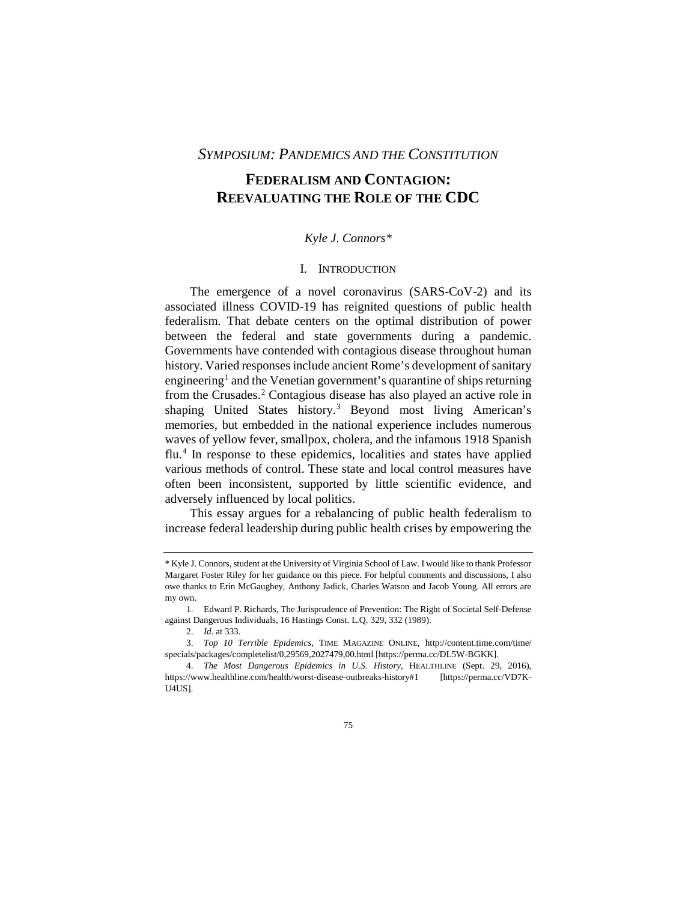# *SYMPOSIUM: PANDEMICS AND THE CONSTITUTION*

# **FEDERALISM AND CONTAGION: REEVALUATING THE ROLE OF THE CDC**

# *Kyle J. Connors\**

# I. INTRODUCTION

The emergence of a novel coronavirus (SARS-CoV-2) and its associated illness COVID-19 has reignited questions of public health federalism. That debate centers on the optimal distribution of power between the federal and state governments during a pandemic. Governments have contended with contagious disease throughout human history. Varied responses include ancient Rome's development of sanitary engineering<sup>1</sup> and the Venetian government's quarantine of ships returning from the Crusades.[2](#page-0-1) Contagious disease has also played an active role in shaping United States history.<sup>[3](#page-0-2)</sup> Beyond most living American's memories, but embedded in the national experience includes numerous waves of yellow fever, smallpox, cholera, and the infamous 1918 Spanish flu[.4](#page-0-3) In response to these epidemics, localities and states have applied various methods of control. These state and local control measures have often been inconsistent, supported by little scientific evidence, and adversely influenced by local politics.

This essay argues for a rebalancing of public health federalism to increase federal leadership during public health crises by empowering the

<span id="page-0-0"></span><sup>\*</sup> Kyle J. Connors, student at the University of Virginia School of Law. I would like to thank Professor Margaret Foster Riley for her guidance on this piece. For helpful comments and discussions, I also owe thanks to Erin McGaughey, Anthony Jadick, Charles Watson and Jacob Young. All errors are my own.

<sup>1.</sup> Edward P. Richards, The Jurisprudence of Prevention: The Right of Societal Self-Defense against Dangerous Individuals, 16 Hastings Const. L.Q. 329, 332 (1989).

<sup>2.</sup> *Id.* at 333.

<span id="page-0-2"></span><span id="page-0-1"></span><sup>3.</sup> *Top 10 Terrible Epidemics*, TIME MAGAZINE ONLINE, http://content.time.com/time/ specials/packages/completelist/0,29569,2027479,00.html [https://perma.cc/DL5W-BGKK].

<span id="page-0-3"></span><sup>4.</sup> *The Most Dangerous Epidemics in U.S. History*, HEALTHLINE (Sept. 29, 2016), https://www.healthline.com/health/worst-disease-outbreaks-history#1 [https://perma.cc/VD7K-U4US].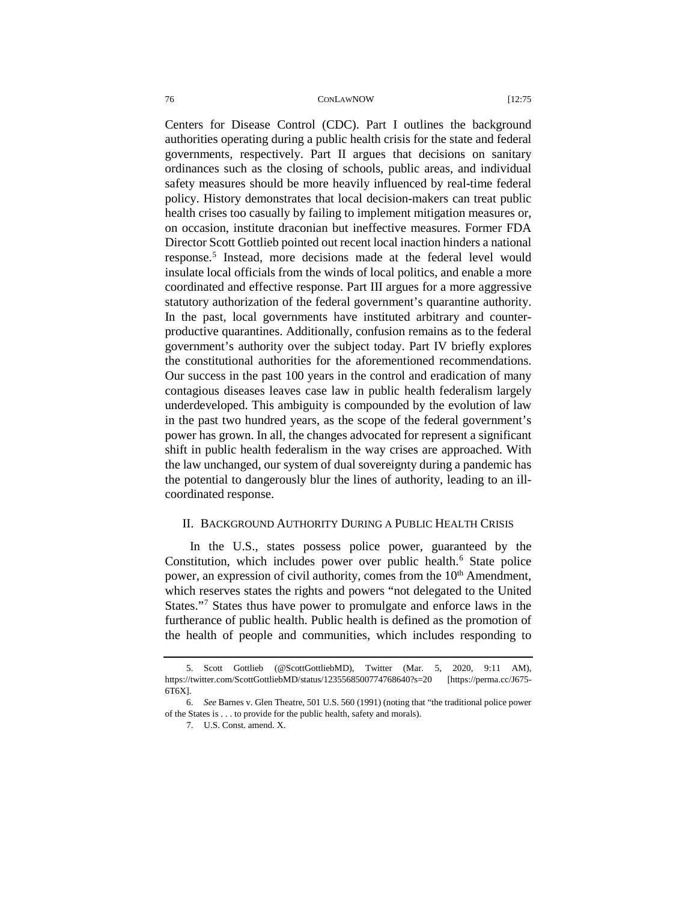Centers for Disease Control (CDC). Part I outlines the background authorities operating during a public health crisis for the state and federal governments, respectively. Part II argues that decisions on sanitary ordinances such as the closing of schools, public areas, and individual safety measures should be more heavily influenced by real-time federal policy. History demonstrates that local decision-makers can treat public health crises too casually by failing to implement mitigation measures or, on occasion, institute draconian but ineffective measures. Former FDA Director Scott Gottlieb pointed out recent local inaction hinders a national response.[5](#page-1-0) Instead, more decisions made at the federal level would insulate local officials from the winds of local politics, and enable a more coordinated and effective response. Part III argues for a more aggressive statutory authorization of the federal government's quarantine authority. In the past, local governments have instituted arbitrary and counterproductive quarantines. Additionally, confusion remains as to the federal government's authority over the subject today. Part IV briefly explores the constitutional authorities for the aforementioned recommendations. Our success in the past 100 years in the control and eradication of many contagious diseases leaves case law in public health federalism largely underdeveloped. This ambiguity is compounded by the evolution of law in the past two hundred years, as the scope of the federal government's power has grown. In all, the changes advocated for represent a significant shift in public health federalism in the way crises are approached. With the law unchanged, our system of dual sovereignty during a pandemic has the potential to dangerously blur the lines of authority, leading to an illcoordinated response.

## II. BACKGROUND AUTHORITY DURING A PUBLIC HEALTH CRISIS

In the U.S., states possess police power, guaranteed by the Constitution, which includes power over public health.<sup>[6](#page-1-1)</sup> State police power, an expression of civil authority, comes from the  $10<sup>th</sup>$  Amendment, which reserves states the rights and powers "not delegated to the United States.["7](#page-1-2) States thus have power to promulgate and enforce laws in the furtherance of public health. Public health is defined as the promotion of the health of people and communities, which includes responding to

<span id="page-1-0"></span><sup>5.</sup> Scott Gottlieb (@ScottGottliebMD), Twitter (Mar. 5, 2020, 9:11 AM), https://twitter.com/ScottGottliebMD/status/1235568500774768640?s=20 [https://perma.cc/J675- 6T6X].

<span id="page-1-2"></span><span id="page-1-1"></span><sup>6.</sup> *See* Barnes v. Glen Theatre, 501 U.S. 560 (1991) (noting that "the traditional police power of the States is . . . to provide for the public health, safety and morals).

<sup>7.</sup> U.S. Const. amend. X.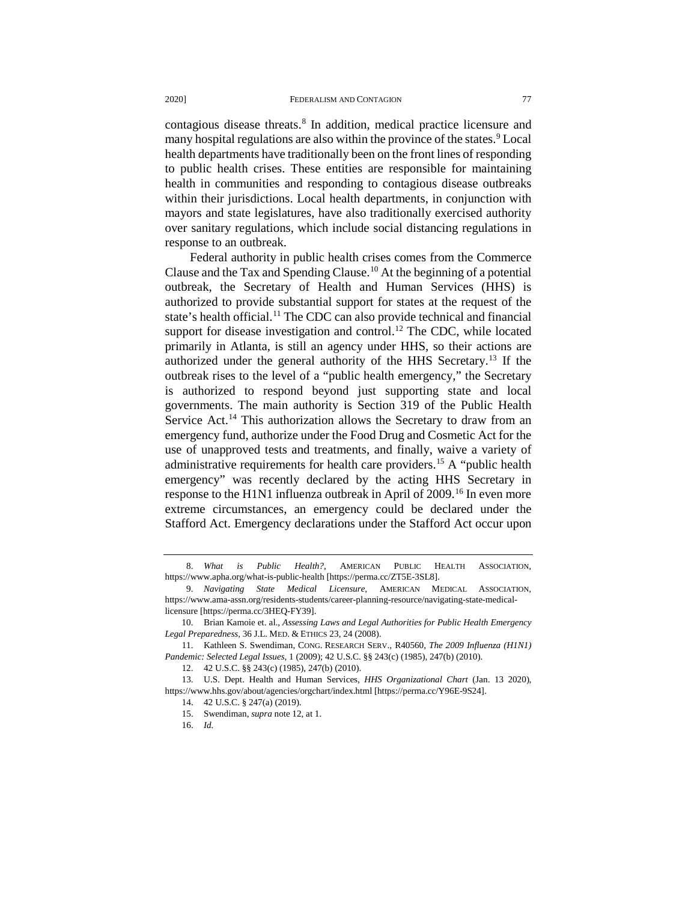contagious disease threats.[8](#page-2-0) In addition, medical practice licensure and many hospital regulations are also within the province of the states.<sup>[9](#page-2-1)</sup> Local health departments have traditionally been on the front lines of responding to public health crises. These entities are responsible for maintaining health in communities and responding to contagious disease outbreaks within their jurisdictions. Local health departments, in conjunction with mayors and state legislatures, have also traditionally exercised authority over sanitary regulations, which include social distancing regulations in response to an outbreak.

Federal authority in public health crises comes from the Commerce Clause and the Tax and Spending Clause.<sup>10</sup> At the beginning of a potential outbreak, the Secretary of Health and Human Services (HHS) is authorized to provide substantial support for states at the request of the state's health official.<sup>[11](#page-2-3)</sup> The CDC can also provide technical and financial support for disease investigation and control.<sup>[12](#page-2-4)</sup> The CDC, while located primarily in Atlanta, is still an agency under HHS, so their actions are authorized under the general authority of the HHS Secretary.[13](#page-2-5) If the outbreak rises to the level of a "public health emergency," the Secretary is authorized to respond beyond just supporting state and local governments. The main authority is Section 319 of the Public Health Service Act.<sup>[14](#page-2-6)</sup> This authorization allows the Secretary to draw from an emergency fund, authorize under the Food Drug and Cosmetic Act for the use of unapproved tests and treatments, and finally, waive a variety of administrative requirements for health care providers.<sup>[15](#page-2-7)</sup> A "public health" emergency" was recently declared by the acting HHS Secretary in response to the H1N1 influenza outbreak in April of 2009.<sup>[16](#page-2-8)</sup> In even more extreme circumstances, an emergency could be declared under the Stafford Act. Emergency declarations under the Stafford Act occur upon

<span id="page-2-0"></span><sup>8.</sup> *What is Public Health?*, AMERICAN PUBLIC HEALTH ASSOCIATION, https://www.apha.org/what-is-public-health [https://perma.cc/ZT5E-3SL8].

<span id="page-2-1"></span><sup>9.</sup> *Navigating State Medical Licensure*, AMERICAN MEDICAL ASSOCIATION, https://www.ama-assn.org/residents-students/career-planning-resource/navigating-state-medicallicensure [https://perma.cc/3HEQ-FY39].

<span id="page-2-2"></span><sup>10.</sup> Brian Kamoie et. al., *Assessing Laws and Legal Authorities for Public Health Emergency Legal Preparedness*, 36 J.L. MED. & ETHICS 23, 24 (2008).

<span id="page-2-3"></span><sup>11.</sup> Kathleen S. Swendiman, CONG. RESEARCH SERV., R40560, *The 2009 Influenza (H1N1) Pandemic: Selected Legal Issues*, 1 (2009); 42 U.S.C. §§ 243(c) (1985), 247(b) (2010).

<sup>12.</sup> 42 U.S.C. §§ 243(c) (1985), 247(b) (2010).

<span id="page-2-8"></span><span id="page-2-7"></span><span id="page-2-6"></span><span id="page-2-5"></span><span id="page-2-4"></span><sup>13.</sup> U.S. Dept. Health and Human Services, *HHS Organizational Chart* (Jan. 13 2020), https://www.hhs.gov/about/agencies/orgchart/index.html [https://perma.cc/Y96E-9S24].

<sup>14.</sup> 42 U.S.C. § 247(a) (2019).

<sup>15.</sup> Swendiman, *supra* note 12, at 1.

<sup>16.</sup> *Id.*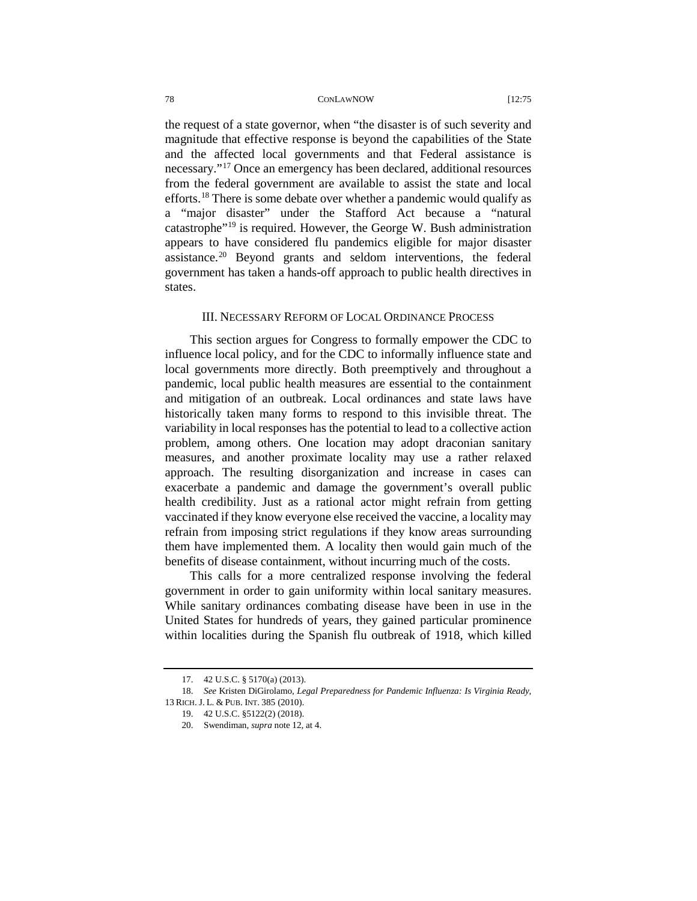the request of a state governor, when "the disaster is of such severity and magnitude that effective response is beyond the capabilities of the State and the affected local governments and that Federal assistance is necessary."[17](#page-3-0) Once an emergency has been declared, additional resources from the federal government are available to assist the state and local efforts.<sup>[18](#page-3-1)</sup> There is some debate over whether a pandemic would qualify as a "major disaster" under the Stafford Act because a "natural catastrophe["19](#page-3-2) is required. However, the George W. Bush administration appears to have considered flu pandemics eligible for major disaster assistance.[20](#page-3-3) Beyond grants and seldom interventions, the federal government has taken a hands-off approach to public health directives in states.

# III. NECESSARY REFORM OF LOCAL ORDINANCE PROCESS

This section argues for Congress to formally empower the CDC to influence local policy, and for the CDC to informally influence state and local governments more directly. Both preemptively and throughout a pandemic, local public health measures are essential to the containment and mitigation of an outbreak. Local ordinances and state laws have historically taken many forms to respond to this invisible threat. The variability in local responses has the potential to lead to a collective action problem, among others. One location may adopt draconian sanitary measures, and another proximate locality may use a rather relaxed approach. The resulting disorganization and increase in cases can exacerbate a pandemic and damage the government's overall public health credibility. Just as a rational actor might refrain from getting vaccinated if they know everyone else received the vaccine, a locality may refrain from imposing strict regulations if they know areas surrounding them have implemented them. A locality then would gain much of the benefits of disease containment, without incurring much of the costs.

This calls for a more centralized response involving the federal government in order to gain uniformity within local sanitary measures. While sanitary ordinances combating disease have been in use in the United States for hundreds of years, they gained particular prominence within localities during the Spanish flu outbreak of 1918, which killed

<sup>17.</sup> 42 U.S.C. § 5170(a) (2013).

<span id="page-3-3"></span><span id="page-3-2"></span><span id="page-3-1"></span><span id="page-3-0"></span><sup>18.</sup> *See* Kristen DiGirolamo, *Legal Preparedness for Pandemic Influenza: Is Virginia Ready*, 13 RICH. J. L. & PUB. INT. 385 (2010).

<sup>19.</sup> 42 U.S.C. §5122(2) (2018).

<sup>20.</sup> Swendiman, *supra* note 12, at 4.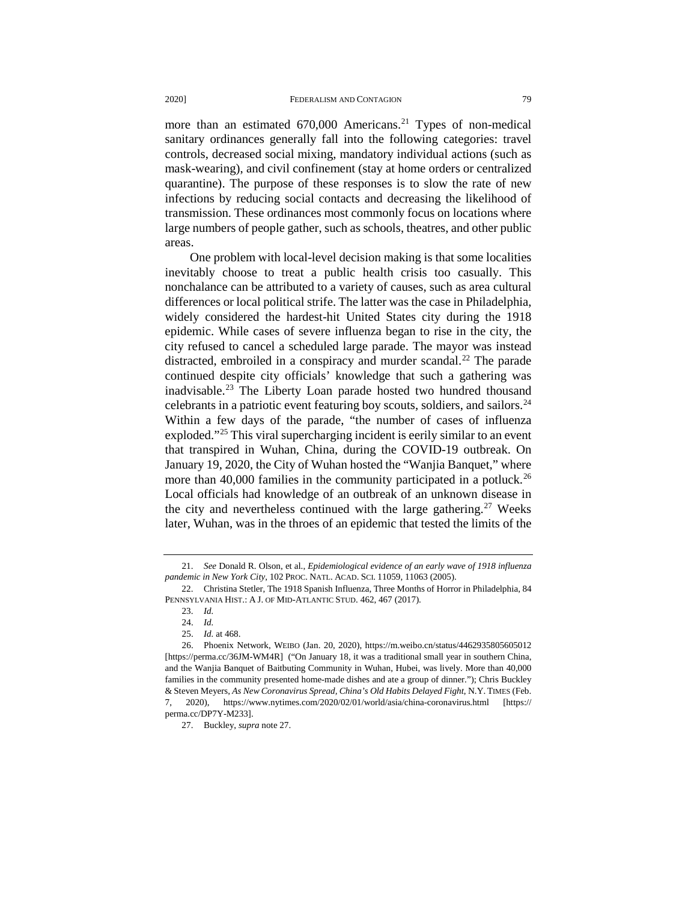more than an estimated 670,000 Americans.<sup>[21](#page-4-0)</sup> Types of non-medical sanitary ordinances generally fall into the following categories: travel controls, decreased social mixing, mandatory individual actions (such as mask-wearing), and civil confinement (stay at home orders or centralized quarantine). The purpose of these responses is to slow the rate of new infections by reducing social contacts and decreasing the likelihood of transmission. These ordinances most commonly focus on locations where large numbers of people gather, such as schools, theatres, and other public areas.

One problem with local-level decision making is that some localities inevitably choose to treat a public health crisis too casually. This nonchalance can be attributed to a variety of causes, such as area cultural differences or local political strife. The latter was the case in Philadelphia, widely considered the hardest-hit United States city during the 1918 epidemic. While cases of severe influenza began to rise in the city, the city refused to cancel a scheduled large parade. The mayor was instead distracted, embroiled in a conspiracy and murder scandal.<sup>[22](#page-4-1)</sup> The parade continued despite city officials' knowledge that such a gathering was inadvisable.[23](#page-4-2) The Liberty Loan parade hosted two hundred thousand celebrants in a patriotic event featuring boy scouts, soldiers, and sailors.<sup>[24](#page-4-3)</sup> Within a few days of the parade, "the number of cases of influenza exploded.["25](#page-4-4) This viral supercharging incident is eerily similar to an event that transpired in Wuhan, China, during the COVID-19 outbreak. On January 19, 2020, the City of Wuhan hosted the "Wanjia Banquet," where more than 40,000 families in the community participated in a potluck.<sup>[26](#page-4-5)</sup> Local officials had knowledge of an outbreak of an unknown disease in the city and nevertheless continued with the large gathering.<sup>[27](#page-4-6)</sup> Weeks later, Wuhan, was in the throes of an epidemic that tested the limits of the

<span id="page-4-0"></span><sup>21.</sup> *See* Donald R. Olson, et al., *Epidemiological evidence of an early wave of 1918 influenza pandemic in New York City*, 102 PROC. NATL. ACAD. SCI. 11059, 11063 (2005).

<span id="page-4-2"></span><span id="page-4-1"></span><sup>22.</sup> Christina Stetler, The 1918 Spanish Influenza, Three Months of Horror in Philadelphia, 84 PENNSYLVANIA HIST.: A J. OF MID-ATLANTIC STUD. 462, 467 (2017).

<sup>23.</sup> *Id.*

<sup>24.</sup> *Id.*

<sup>25.</sup> *Id.* at 468.

<span id="page-4-5"></span><span id="page-4-4"></span><span id="page-4-3"></span><sup>26.</sup> Phoenix Network, WEIBO (Jan. 20, 2020), https://m.weibo.cn/status/4462935805605012 [https://perma.cc/36JM-WM4R] ("On January 18, it was a traditional small year in southern China, and the Wanjia Banquet of Baitbuting Community in Wuhan, Hubei, was lively. More than 40,000 families in the community presented home-made dishes and ate a group of dinner."); Chris Buckley & Steven Meyers, *As New Coronavirus Spread, China's Old Habits Delayed Fight*, N.Y. TIMES (Feb. 7, 2020), https://www.nytimes.com/2020/02/01/world/asia/china-coronavirus.html [https:// perma.cc/DP7Y-M233].

<span id="page-4-6"></span><sup>27.</sup> Buckley, *supra* note 27.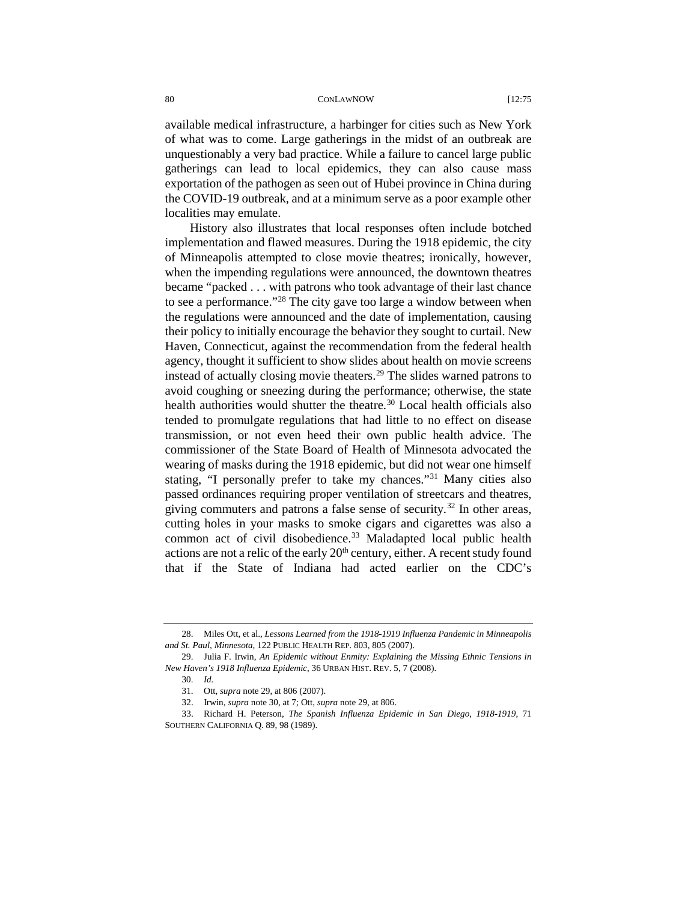available medical infrastructure, a harbinger for cities such as New York of what was to come. Large gatherings in the midst of an outbreak are unquestionably a very bad practice. While a failure to cancel large public gatherings can lead to local epidemics, they can also cause mass exportation of the pathogen as seen out of Hubei province in China during the COVID-19 outbreak, and at a minimum serve as a poor example other localities may emulate.

History also illustrates that local responses often include botched implementation and flawed measures. During the 1918 epidemic, the city of Minneapolis attempted to close movie theatres; ironically, however, when the impending regulations were announced, the downtown theatres became "packed . . . with patrons who took advantage of their last chance to see a performance."[28](#page-5-0) The city gave too large a window between when the regulations were announced and the date of implementation, causing their policy to initially encourage the behavior they sought to curtail. New Haven, Connecticut, against the recommendation from the federal health agency, thought it sufficient to show slides about health on movie screens instead of actually closing movie theaters.<sup>[29](#page-5-1)</sup> The slides warned patrons to avoid coughing or sneezing during the performance; otherwise, the state health authorities would shutter the theatre.<sup>[30](#page-5-2)</sup> Local health officials also tended to promulgate regulations that had little to no effect on disease transmission, or not even heed their own public health advice. The commissioner of the State Board of Health of Minnesota advocated the wearing of masks during the 1918 epidemic, but did not wear one himself stating, "I personally prefer to take my chances."[31](#page-5-3) Many cities also passed ordinances requiring proper ventilation of streetcars and theatres, giving commuters and patrons a false sense of security.<sup>[32](#page-5-4)</sup> In other areas, cutting holes in your masks to smoke cigars and cigarettes was also a common act of civil disobedience.<sup>[33](#page-5-5)</sup> Maladapted local public health actions are not a relic of the early  $20<sup>th</sup>$  century, either. A recent study found that if the State of Indiana had acted earlier on the CDC's

<span id="page-5-0"></span><sup>28.</sup> Miles Ott, et al., *Lessons Learned from the 1918-1919 Influenza Pandemic in Minneapolis and St. Paul, Minnesota*, 122 PUBLIC HEALTH REP. 803, 805 (2007).

<span id="page-5-2"></span><span id="page-5-1"></span><sup>29.</sup> Julia F. Irwin, *An Epidemic without Enmity: Explaining the Missing Ethnic Tensions in New Haven's 1918 Influenza Epidemic*, 36 URBAN HIST. REV. 5, 7 (2008).

<sup>30.</sup> *Id.*

<sup>31.</sup> Ott, *supra* note 29, at 806 (2007).

<sup>32.</sup> Irwin, *supra* note 30, at 7; Ott, *supra* note 29, at 806.

<span id="page-5-5"></span><span id="page-5-4"></span><span id="page-5-3"></span><sup>33.</sup> Richard H. Peterson, *The Spanish Influenza Epidemic in San Diego, 1918-1919*, 71 SOUTHERN CALIFORNIA Q. 89, 98 (1989).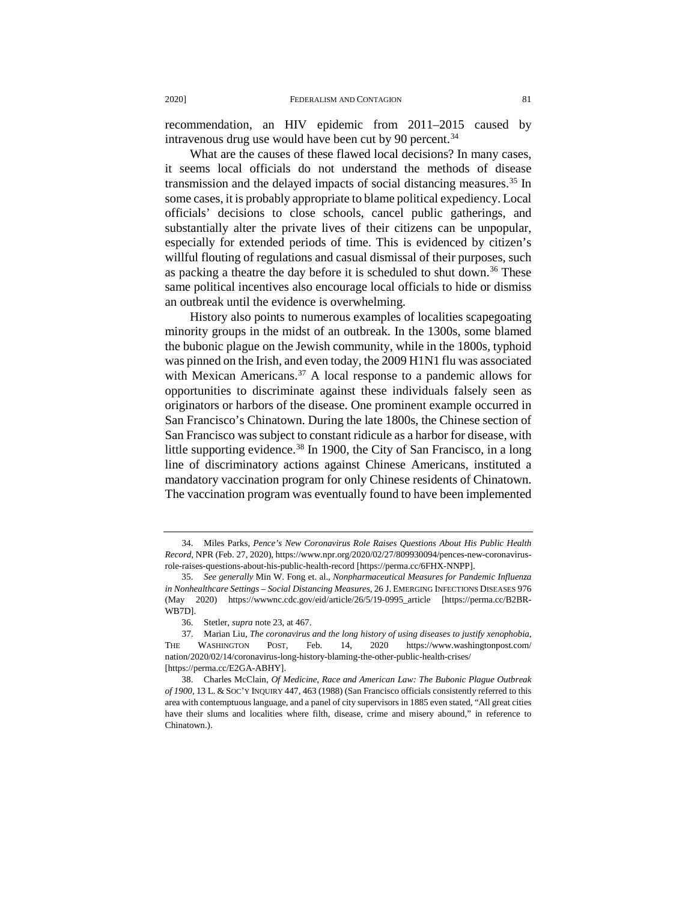recommendation, an HIV epidemic from 2011–2015 caused by intravenous drug use would have been cut by 90 percent.<sup>[34](#page-6-0)</sup>

What are the causes of these flawed local decisions? In many cases, it seems local officials do not understand the methods of disease transmission and the delayed impacts of social distancing measures.[35](#page-6-1) In some cases, it is probably appropriate to blame political expediency. Local officials' decisions to close schools, cancel public gatherings, and substantially alter the private lives of their citizens can be unpopular, especially for extended periods of time. This is evidenced by citizen's willful flouting of regulations and casual dismissal of their purposes, such as packing a theatre the day before it is scheduled to shut down.<sup>[36](#page-6-2)</sup> These same political incentives also encourage local officials to hide or dismiss an outbreak until the evidence is overwhelming.

History also points to numerous examples of localities scapegoating minority groups in the midst of an outbreak. In the 1300s, some blamed the bubonic plague on the Jewish community, while in the 1800s, typhoid was pinned on the Irish, and even today, the 2009 H1N1 flu was associated with Mexican Americans.<sup>[37](#page-6-3)</sup> A local response to a pandemic allows for opportunities to discriminate against these individuals falsely seen as originators or harbors of the disease. One prominent example occurred in San Francisco's Chinatown. During the late 1800s, the Chinese section of San Francisco was subject to constant ridicule as a harbor for disease, with little supporting evidence.<sup>[38](#page-6-4)</sup> In 1900, the City of San Francisco, in a long line of discriminatory actions against Chinese Americans, instituted a mandatory vaccination program for only Chinese residents of Chinatown. The vaccination program was eventually found to have been implemented

<span id="page-6-0"></span><sup>34.</sup> Miles Parks, *Pence's New Coronavirus Role Raises Questions About His Public Health Record*, NPR (Feb. 27, 2020), https://www.npr.org/2020/02/27/809930094/pences-new-coronavirusrole-raises-questions-about-his-public-health-record [https://perma.cc/6FHX-NNPP].

<span id="page-6-1"></span><sup>35.</sup> *See generally* Min W. Fong et. al., *Nonpharmaceutical Measures for Pandemic Influenza in Nonhealthcare Settings – Social Distancing Measures*, 26 J. EMERGING INFECTIONS DISEASES 976 (May 2020) https://wwwnc.cdc.gov/eid/article/26/5/19-0995\_article [https://perma.cc/B2BR-WB7D].

<sup>36.</sup> Stetler, *supra* note 23, at 467.

<span id="page-6-3"></span><span id="page-6-2"></span><sup>37.</sup> Marian Liu, *The coronavirus and the long history of using diseases to justify xenophobia*, THE WASHINGTON POST, Feb. 14, 2020 https://www.washingtonpost.com/ nation/2020/02/14/coronavirus-long-history-blaming-the-other-public-health-crises/ [https://perma.cc/E2GA-ABHY].

<span id="page-6-4"></span><sup>38.</sup> Charles McClain, *Of Medicine, Race and American Law: The Bubonic Plague Outbreak of 1900*, 13 L. & SOC'Y INQUIRY 447, 463 (1988) (San Francisco officials consistently referred to this area with contemptuous language, and a panel of city supervisors in 1885 even stated, "All great cities have their slums and localities where filth, disease, crime and misery abound," in reference to Chinatown.)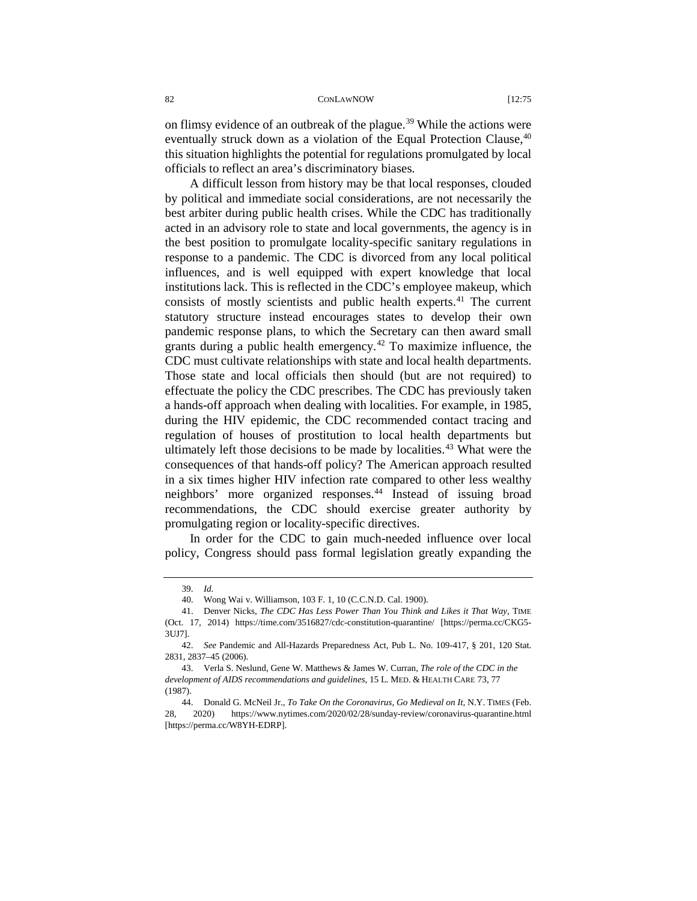on flimsy evidence of an outbreak of the plague.<sup>[39](#page-7-0)</sup> While the actions were eventually struck down as a violation of the Equal Protection Clause,  $40$ this situation highlights the potential for regulations promulgated by local officials to reflect an area's discriminatory biases.

A difficult lesson from history may be that local responses, clouded by political and immediate social considerations, are not necessarily the best arbiter during public health crises. While the CDC has traditionally acted in an advisory role to state and local governments, the agency is in the best position to promulgate locality-specific sanitary regulations in response to a pandemic. The CDC is divorced from any local political influences, and is well equipped with expert knowledge that local institutions lack. This is reflected in the CDC's employee makeup, which consists of mostly scientists and public health experts.<sup>[41](#page-7-2)</sup> The current statutory structure instead encourages states to develop their own pandemic response plans, to which the Secretary can then award small grants during a public health emergency.<sup>[42](#page-7-3)</sup> To maximize influence, the CDC must cultivate relationships with state and local health departments. Those state and local officials then should (but are not required) to effectuate the policy the CDC prescribes. The CDC has previously taken a hands-off approach when dealing with localities. For example, in 1985, during the HIV epidemic, the CDC recommended contact tracing and regulation of houses of prostitution to local health departments but ultimately left those decisions to be made by localities. $43$  What were the consequences of that hands-off policy? The American approach resulted in a six times higher HIV infection rate compared to other less wealthy neighbors' more organized responses.<sup>[44](#page-7-5)</sup> Instead of issuing broad recommendations, the CDC should exercise greater authority by promulgating region or locality-specific directives.

In order for the CDC to gain much-needed influence over local policy, Congress should pass formal legislation greatly expanding the

<sup>39.</sup> *Id.*

<sup>40.</sup> Wong Wai v. Williamson, 103 F. 1, 10 (C.C.N.D. Cal. 1900).

<span id="page-7-2"></span><span id="page-7-1"></span><span id="page-7-0"></span><sup>41.</sup> Denver Nicks, *The CDC Has Less Power Than You Think and Likes it That Way*, TIME (Oct. 17, 2014) https://time.com/3516827/cdc-constitution-quarantine/ [https://perma.cc/CKG5- 3UJ7].

<span id="page-7-3"></span><sup>42.</sup> *See* Pandemic and All-Hazards Preparedness Act, Pub L. No. 109-417, § 201, 120 Stat. 2831, 2837–45 (2006).

<span id="page-7-4"></span><sup>43.</sup> Verla S. Neslund, Gene W. Matthews & James W. Curran, *The role of the CDC in the development of AIDS recommendations and guidelines*, 15 L. MED. & HEALTH CARE 73, 77 (1987).

<span id="page-7-5"></span><sup>44.</sup> Donald G. McNeil Jr., *To Take On the Coronavirus, Go Medieval on It*, N.Y. TIMES (Feb. 28, 2020) https://www.nytimes.com/2020/02/28/sunday-review/coronavirus-quarantine.html [https://perma.cc/W8YH-EDRP].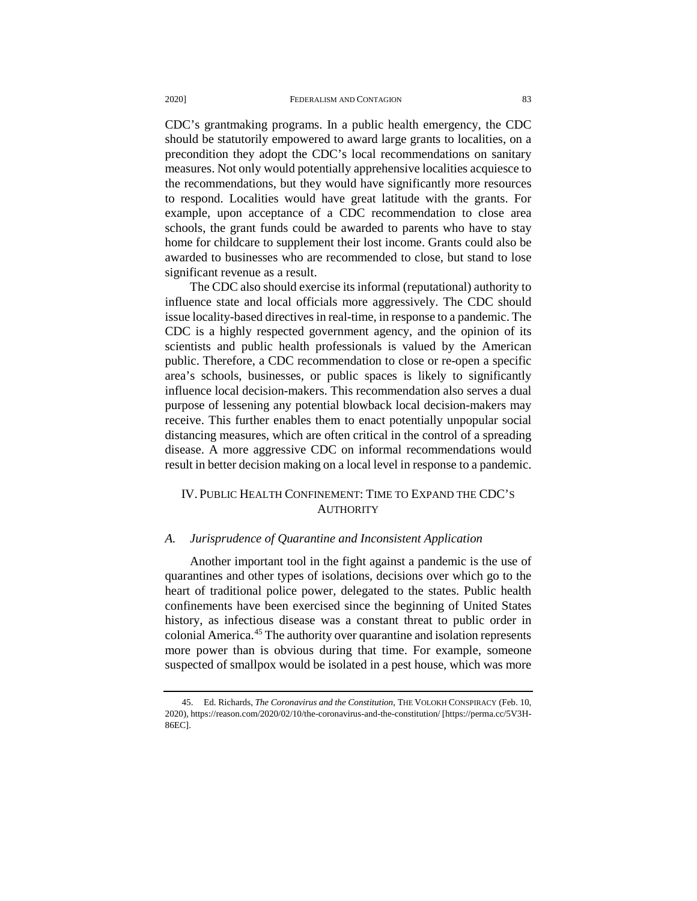CDC's grantmaking programs. In a public health emergency, the CDC should be statutorily empowered to award large grants to localities, on a precondition they adopt the CDC's local recommendations on sanitary measures. Not only would potentially apprehensive localities acquiesce to the recommendations, but they would have significantly more resources to respond. Localities would have great latitude with the grants. For example, upon acceptance of a CDC recommendation to close area schools, the grant funds could be awarded to parents who have to stay home for childcare to supplement their lost income. Grants could also be awarded to businesses who are recommended to close, but stand to lose significant revenue as a result.

The CDC also should exercise its informal (reputational) authority to influence state and local officials more aggressively. The CDC should issue locality-based directives in real-time, in response to a pandemic. The CDC is a highly respected government agency, and the opinion of its scientists and public health professionals is valued by the American public. Therefore, a CDC recommendation to close or re-open a specific area's schools, businesses, or public spaces is likely to significantly influence local decision-makers. This recommendation also serves a dual purpose of lessening any potential blowback local decision-makers may receive. This further enables them to enact potentially unpopular social distancing measures, which are often critical in the control of a spreading disease. A more aggressive CDC on informal recommendations would result in better decision making on a local level in response to a pandemic.

# IV. PUBLIC HEALTH CONFINEMENT: TIME TO EXPAND THE CDC'S **AUTHORITY**

### *A. Jurisprudence of Quarantine and Inconsistent Application*

Another important tool in the fight against a pandemic is the use of quarantines and other types of isolations, decisions over which go to the heart of traditional police power, delegated to the states. Public health confinements have been exercised since the beginning of United States history, as infectious disease was a constant threat to public order in colonial America.[45](#page-8-0) The authority over quarantine and isolation represents more power than is obvious during that time. For example, someone suspected of smallpox would be isolated in a pest house, which was more

<span id="page-8-0"></span><sup>45.</sup> Ed. Richards, *The Coronavirus and the Constitution*, THE VOLOKH CONSPIRACY (Feb. 10, 2020), https://reason.com/2020/02/10/the-coronavirus-and-the-constitution/ [https://perma.cc/5V3H-86EC].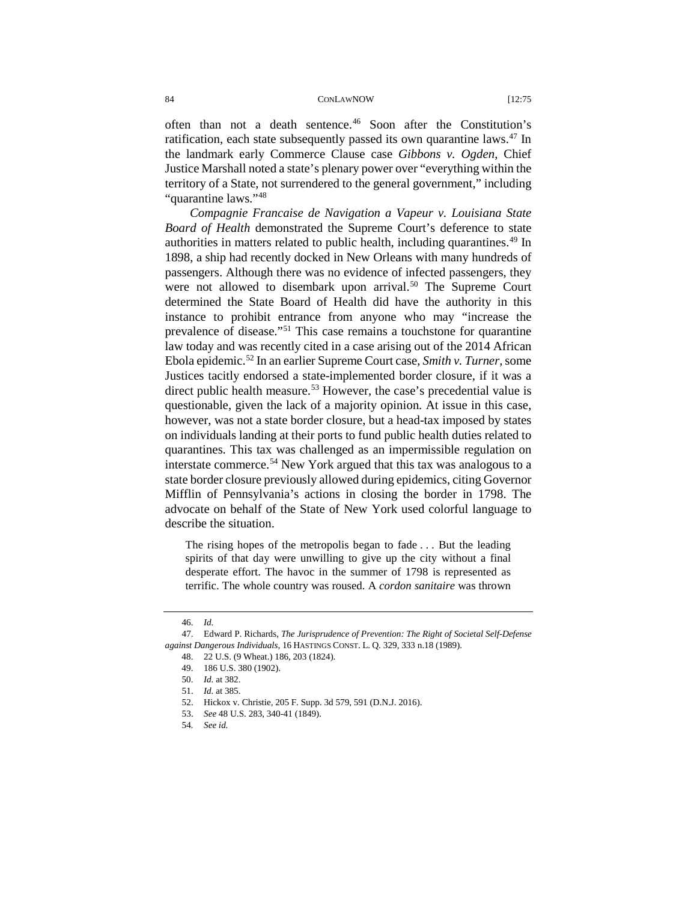often than not a death sentence.[46](#page-9-0) Soon after the Constitution's ratification, each state subsequently passed its own quarantine laws.<sup>[47](#page-9-1)</sup> In the landmark early Commerce Clause case *Gibbons v. Ogden*, Chief Justice Marshall noted a state's plenary power over "everything within the territory of a State, not surrendered to the general government," including "quarantine laws."[48](#page-9-2)

*Compagnie Francaise de Navigation a Vapeur v. Louisiana State Board of Health* demonstrated the Supreme Court's deference to state authorities in matters related to public health, including quarantines.<sup>[49](#page-9-3)</sup> In 1898, a ship had recently docked in New Orleans with many hundreds of passengers. Although there was no evidence of infected passengers, they were not allowed to disembark upon arrival.<sup>[50](#page-9-4)</sup> The Supreme Court determined the State Board of Health did have the authority in this instance to prohibit entrance from anyone who may "increase the prevalence of disease."[51](#page-9-5) This case remains a touchstone for quarantine law today and was recently cited in a case arising out of the 2014 African Ebola epidemic.[52](#page-9-6) In an earlier Supreme Court case, *Smith v. Turner,* some Justices tacitly endorsed a state-implemented border closure, if it was a direct public health measure.<sup>53</sup> However, the case's precedential value is questionable, given the lack of a majority opinion. At issue in this case, however, was not a state border closure, but a head-tax imposed by states on individuals landing at their ports to fund public health duties related to quarantines. This tax was challenged as an impermissible regulation on interstate commerce.<sup>[54](#page-9-8)</sup> New York argued that this tax was analogous to a state border closure previously allowed during epidemics, citing Governor Mifflin of Pennsylvania's actions in closing the border in 1798. The advocate on behalf of the State of New York used colorful language to describe the situation.

The rising hopes of the metropolis began to fade . . . But the leading spirits of that day were unwilling to give up the city without a final desperate effort. The havoc in the summer of 1798 is represented as terrific. The whole country was roused. A *cordon sanitaire* was thrown

<sup>46.</sup> *Id.*

<span id="page-9-6"></span><span id="page-9-5"></span><span id="page-9-4"></span><span id="page-9-3"></span><span id="page-9-2"></span><span id="page-9-1"></span><span id="page-9-0"></span><sup>47.</sup> Edward P. Richards, *The Jurisprudence of Prevention: The Right of Societal Self-Defense against Dangerous Individuals*, 16 HASTINGS CONST. L. Q. 329, 333 n.18 (1989).

<sup>48.</sup> 22 U.S. (9 Wheat.) 186, 203 (1824).

<sup>49.</sup> 186 U.S. 380 (1902).

<sup>50.</sup> *Id.* at 382.

<sup>51.</sup> *Id.* at 385.

<sup>52.</sup> Hickox v. Christie, 205 F. Supp. 3d 579, 591 (D.N.J. 2016).

<span id="page-9-7"></span><sup>53.</sup> *See* 48 U.S. 283, 340-41 (1849).

<span id="page-9-8"></span><sup>54</sup>*. See id.*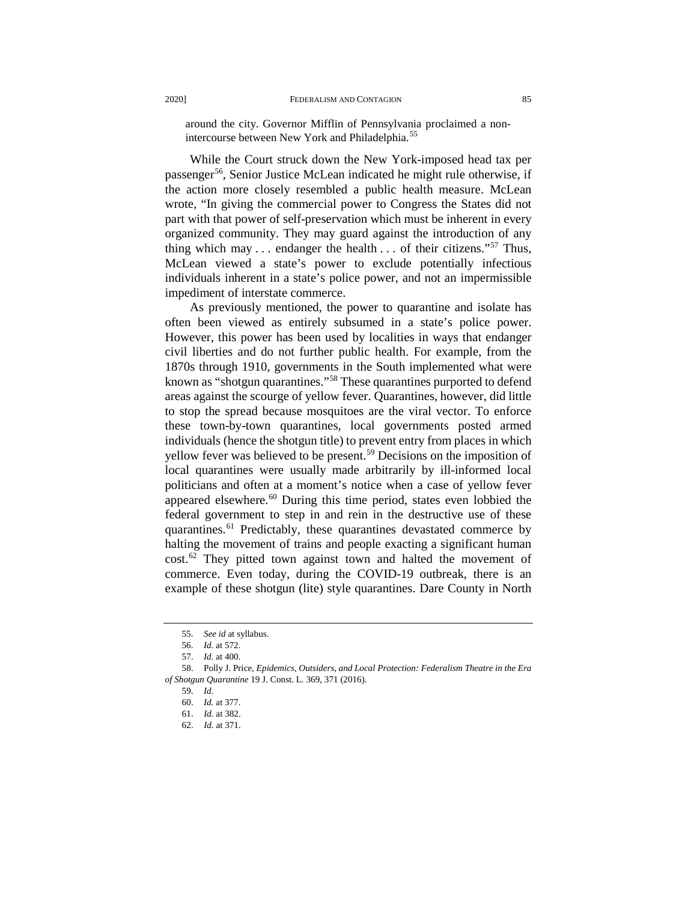around the city. Governor Mifflin of Pennsylvania proclaimed a non-intercourse between New York and Philadelphia.<sup>[55](#page-10-0)</sup>

While the Court struck down the New York-imposed head tax per passenger<sup>56</sup>, Senior Justice McLean indicated he might rule otherwise, if the action more closely resembled a public health measure. McLean wrote, "In giving the commercial power to Congress the States did not part with that power of self-preservation which must be inherent in every organized community. They may guard against the introduction of any thing which may  $\ldots$  endanger the health  $\ldots$  of their citizens."<sup>[57](#page-10-2)</sup> Thus, McLean viewed a state's power to exclude potentially infectious individuals inherent in a state's police power, and not an impermissible impediment of interstate commerce.

As previously mentioned, the power to quarantine and isolate has often been viewed as entirely subsumed in a state's police power. However, this power has been used by localities in ways that endanger civil liberties and do not further public health. For example, from the 1870s through 1910, governments in the South implemented what were known as "shotgun quarantines."<sup>[58](#page-10-3)</sup> These quarantines purported to defend areas against the scourge of yellow fever. Quarantines, however, did little to stop the spread because mosquitoes are the viral vector. To enforce these town-by-town quarantines, local governments posted armed individuals (hence the shotgun title) to prevent entry from places in which yellow fever was believed to be present.<sup>[59](#page-10-4)</sup> Decisions on the imposition of local quarantines were usually made arbitrarily by ill-informed local politicians and often at a moment's notice when a case of yellow fever appeared elsewhere.<sup>[60](#page-10-5)</sup> During this time period, states even lobbied the federal government to step in and rein in the destructive use of these quarantines.<sup>[61](#page-10-6)</sup> Predictably, these quarantines devastated commerce by halting the movement of trains and people exacting a significant human cost.[62](#page-10-7) They pitted town against town and halted the movement of commerce. Even today, during the COVID-19 outbreak, there is an example of these shotgun (lite) style quarantines. Dare County in North

<sup>55.</sup> *See id* at syllabus.

<sup>56.</sup> *Id.* at 572.

<sup>57.</sup> *Id.* at 400.

<span id="page-10-7"></span><span id="page-10-6"></span><span id="page-10-5"></span><span id="page-10-4"></span><span id="page-10-3"></span><span id="page-10-2"></span><span id="page-10-1"></span><span id="page-10-0"></span><sup>58.</sup> Polly J. Price, *Epidemics, Outsiders, and Local Protection: Federalism Theatre in the Era of Shotgun Quarantine* 19 J. Const. L. 369, 371 (2016).

<sup>59.</sup> *Id.*

<sup>60.</sup> *Id.* at 377.

<sup>61.</sup> *Id.* at 382.

<sup>62.</sup> *Id.* at 371.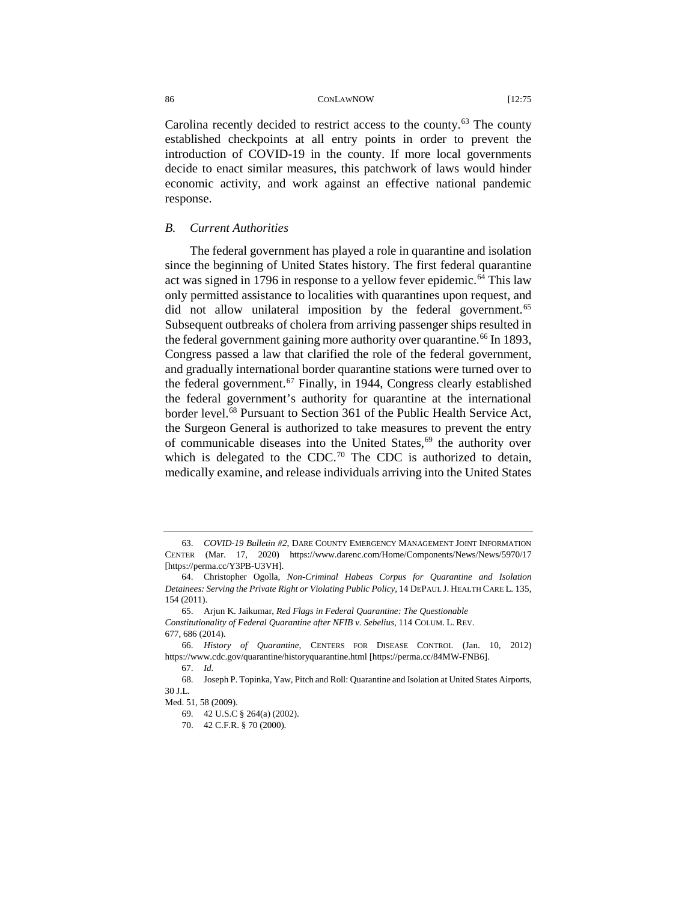Carolina recently decided to restrict access to the county.<sup>[63](#page-11-0)</sup> The county established checkpoints at all entry points in order to prevent the introduction of COVID-19 in the county. If more local governments decide to enact similar measures, this patchwork of laws would hinder economic activity, and work against an effective national pandemic response.

### *B. Current Authorities*

The federal government has played a role in quarantine and isolation since the beginning of United States history. The first federal quarantine act was signed in 1796 in response to a yellow fever epidemic.<sup>[64](#page-11-1)</sup> This law only permitted assistance to localities with quarantines upon request, and did not allow unilateral imposition by the federal government.<sup>[65](#page-11-2)</sup> Subsequent outbreaks of cholera from arriving passenger ships resulted in the federal government gaining more authority over quarantine.<sup>[66](#page-11-3)</sup> In 1893, Congress passed a law that clarified the role of the federal government, and gradually international border quarantine stations were turned over to the federal government.<sup>[67](#page-11-4)</sup> Finally, in 1944, Congress clearly established the federal government's authority for quarantine at the international border level.<sup>68</sup> Pursuant to Section 361 of the Public Health Service Act, the Surgeon General is authorized to take measures to prevent the entry of communicable diseases into the United States,<sup>[69](#page-11-6)</sup> the authority over which is delegated to the CDC.<sup>[70](#page-11-7)</sup> The CDC is authorized to detain, medically examine, and release individuals arriving into the United States

<span id="page-11-0"></span><sup>63.</sup> *COVID-19 Bulletin #2*, DARE COUNTY EMERGENCY MANAGEMENT JOINT INFORMATION CENTER (Mar. 17, 2020) https://www.darenc.com/Home/Components/News/News/5970/17 [https://perma.cc/Y3PB-U3VH].

<span id="page-11-1"></span><sup>64.</sup> Christopher Ogolla, *Non-Criminal Habeas Corpus for Quarantine and Isolation Detainees: Serving the Private Right or Violating Public Policy*, 14 DEPAUL J. HEALTH CARE L. 135, 154 (2011).

<span id="page-11-2"></span><sup>65.</sup> Arjun K. Jaikumar, *Red Flags in Federal Quarantine: The Questionable Constitutionality of Federal Quarantine after NFIB v. Sebelius*, 114 COLUM. L. REV. 677, 686 (2014).

<span id="page-11-4"></span><span id="page-11-3"></span><sup>66.</sup> *History of Quarantine*, CENTERS FOR DISEASE CONTROL (Jan. 10, 2012) https://www.cdc.gov/quarantine/historyquarantine.html [https://perma.cc/84MW-FNB6].

<sup>67.</sup> *Id.*

<span id="page-11-5"></span><sup>68.</sup> Joseph P. Topinka, Yaw, Pitch and Roll: Quarantine and Isolation at United States Airports, 30 J.L.

<span id="page-11-7"></span><span id="page-11-6"></span>Med. 51, 58 (2009).

<sup>69.</sup> 42 U.S.C § 264(a) (2002).

<sup>70.</sup> 42 C.F.R. § 70 (2000).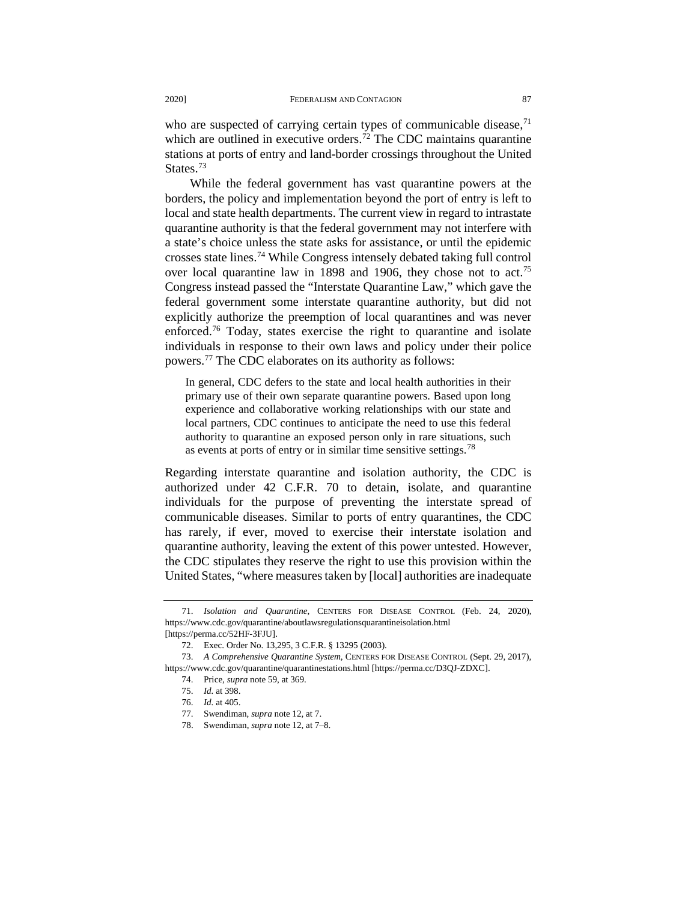who are suspected of carrying certain types of communicable disease,<sup>[71](#page-12-0)</sup> which are outlined in executive orders.<sup>72</sup> The CDC maintains quarantine stations at ports of entry and land-border crossings throughout the United States.<sup>73</sup>

While the federal government has vast quarantine powers at the borders, the policy and implementation beyond the port of entry is left to local and state health departments. The current view in regard to intrastate quarantine authority is that the federal government may not interfere with a state's choice unless the state asks for assistance, or until the epidemic crosses state lines.[74](#page-12-3) While Congress intensely debated taking full control over local quarantine law in 1898 and 1906, they chose not to act.<sup>[75](#page-12-4)</sup> Congress instead passed the "Interstate Quarantine Law," which gave the federal government some interstate quarantine authority, but did not explicitly authorize the preemption of local quarantines and was never enforced.<sup>[76](#page-12-5)</sup> Today, states exercise the right to quarantine and isolate individuals in response to their own laws and policy under their police powers.[77](#page-12-6) The CDC elaborates on its authority as follows:

In general, CDC defers to the state and local health authorities in their primary use of their own separate quarantine powers. Based upon long experience and collaborative working relationships with our state and local partners, CDC continues to anticipate the need to use this federal authority to quarantine an exposed person only in rare situations, such as events at ports of entry or in similar time sensitive settings.<sup>[78](#page-12-7)</sup>

Regarding interstate quarantine and isolation authority, the CDC is authorized under 42 C.F.R. 70 to detain, isolate, and quarantine individuals for the purpose of preventing the interstate spread of communicable diseases. Similar to ports of entry quarantines, the CDC has rarely, if ever, moved to exercise their interstate isolation and quarantine authority, leaving the extent of this power untested. However, the CDC stipulates they reserve the right to use this provision within the United States, "where measures taken by [local] authorities are inadequate

<span id="page-12-0"></span><sup>71.</sup> *Isolation and Quarantine*, CENTERS FOR DISEASE CONTROL (Feb. 24, 2020), https://www.cdc.gov/quarantine/aboutlawsregulationsquarantineisolation.html [https://perma.cc/52HF-3FJU].

<sup>72.</sup> Exec. Order No. 13,295, 3 C.F.R. § 13295 (2003).

<span id="page-12-7"></span><span id="page-12-6"></span><span id="page-12-5"></span><span id="page-12-4"></span><span id="page-12-3"></span><span id="page-12-2"></span><span id="page-12-1"></span><sup>73.</sup> *A Comprehensive Quarantine System*, CENTERS FOR DISEASE CONTROL (Sept. 29, 2017), https://www.cdc.gov/quarantine/quarantinestations.html [https://perma.cc/D3QJ-ZDXC].

<sup>74.</sup> Price, *supra* note 59, at 369.

<sup>75.</sup> *Id.* at 398.

<sup>76.</sup> *Id.* at 405.

<sup>77.</sup> Swendiman, *supra* note 12, at 7.

<sup>78.</sup> Swendiman, *supra* note 12, at 7–8.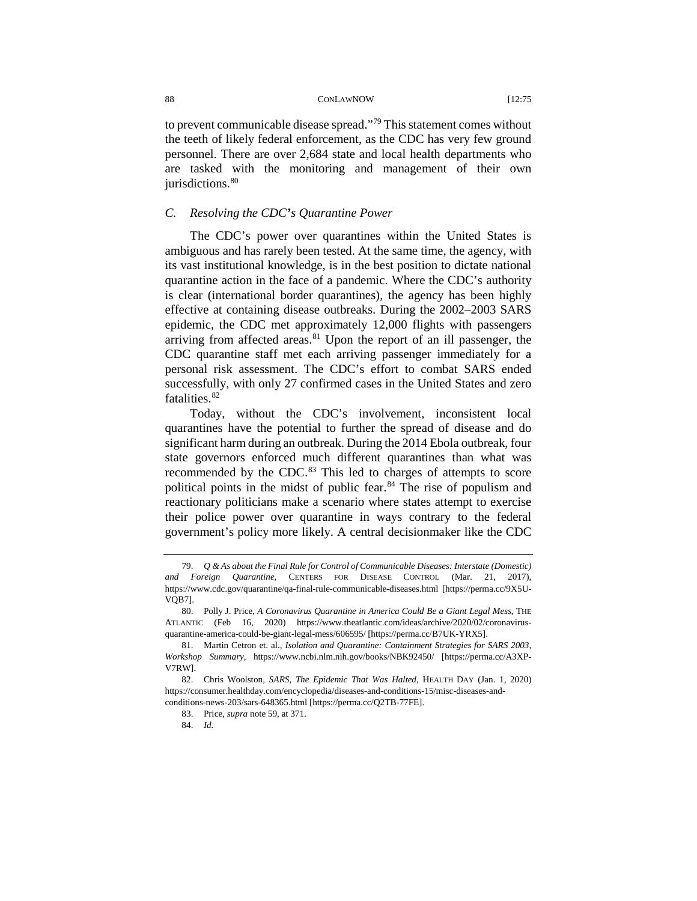to prevent communicable disease spread."[79](#page-13-0) This statement comes without the teeth of likely federal enforcement, as the CDC has very few ground personnel. There are over 2,684 state and local health departments who are tasked with the monitoring and management of their own jurisdictions.<sup>[80](#page-13-1)</sup>

# *C. Resolving the CDC's Quarantine Power*

The CDC's power over quarantines within the United States is ambiguous and has rarely been tested. At the same time, the agency, with its vast institutional knowledge, is in the best position to dictate national quarantine action in the face of a pandemic. Where the CDC's authority is clear (international border quarantines), the agency has been highly effective at containing disease outbreaks. During the 2002–2003 SARS epidemic, the CDC met approximately 12,000 flights with passengers arriving from affected areas. $81$  Upon the report of an ill passenger, the CDC quarantine staff met each arriving passenger immediately for a personal risk assessment. The CDC's effort to combat SARS ended successfully, with only 27 confirmed cases in the United States and zero fatalities.<sup>[82](#page-13-3)</sup>

Today, without the CDC's involvement, inconsistent local quarantines have the potential to further the spread of disease and do significant harm during an outbreak. During the 2014 Ebola outbreak, four state governors enforced much different quarantines than what was recommended by the CDC.<sup>[83](#page-13-4)</sup> This led to charges of attempts to score political points in the midst of public fear.<sup>[84](#page-13-5)</sup> The rise of populism and reactionary politicians make a scenario where states attempt to exercise their police power over quarantine in ways contrary to the federal government's policy more likely. A central decisionmaker like the CDC

<span id="page-13-0"></span><sup>79.</sup> *Q & As about the Final Rule for Control of Communicable Diseases: Interstate (Domestic) and Foreign Quarantine*, CENTERS FOR DISEASE CONTROL (Mar. 21, 2017), https://www.cdc.gov/quarantine/qa-final-rule-communicable-diseases.html [https://perma.cc/9X5U-VQB7].

<span id="page-13-1"></span><sup>80.</sup> Polly J. Price, *A Coronavirus Quarantine in America Could Be a Giant Legal Mess*, THE ATLANTIC (Feb 16, 2020) https://www.theatlantic.com/ideas/archive/2020/02/coronavirusquarantine-america-could-be-giant-legal-mess/606595/ [https://perma.cc/B7UK-YRX5].

<span id="page-13-2"></span><sup>81.</sup> Martin Cetron et. al., *Isolation and Quarantine: Containment Strategies for SARS 2003, Workshop Summary*, https://www.ncbi.nlm.nih.gov/books/NBK92450/ [https://perma.cc/A3XP-V7RW].

<span id="page-13-5"></span><span id="page-13-4"></span><span id="page-13-3"></span><sup>82.</sup> Chris Woolston, *SARS, The Epidemic That Was Halted*, HEALTH DAY (Jan. 1, 2020) https://consumer.healthday.com/encyclopedia/diseases-and-conditions-15/misc-diseases-andconditions-news-203/sars-648365.html [https://perma.cc/Q2TB-77FE].

<sup>83.</sup> Price, *supra* note 59, at 371.

<sup>84.</sup> *Id.*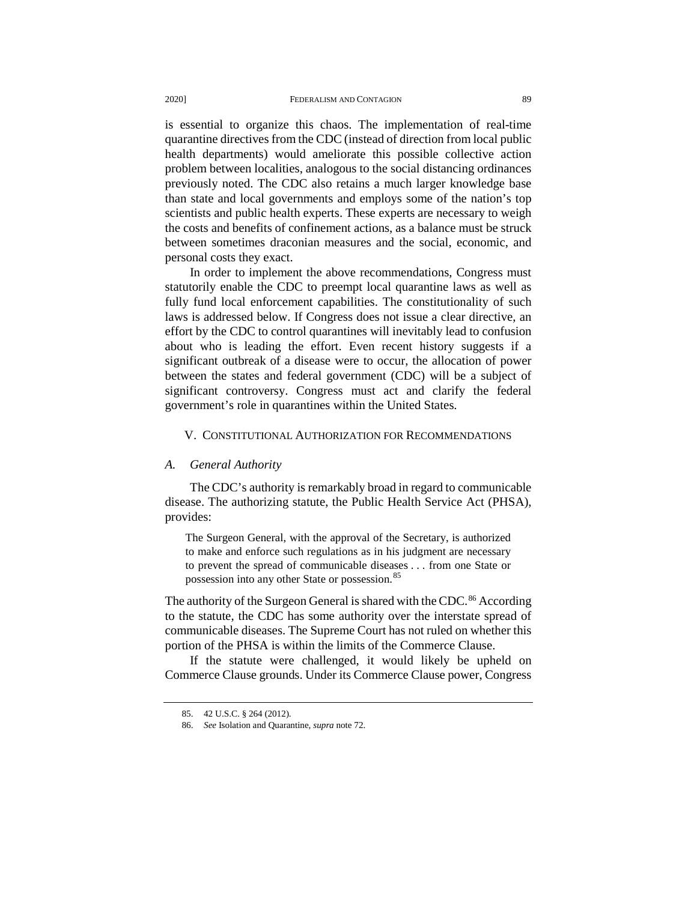is essential to organize this chaos. The implementation of real-time quarantine directives from the CDC (instead of direction from local public health departments) would ameliorate this possible collective action problem between localities, analogous to the social distancing ordinances previously noted. The CDC also retains a much larger knowledge base than state and local governments and employs some of the nation's top scientists and public health experts. These experts are necessary to weigh the costs and benefits of confinement actions, as a balance must be struck between sometimes draconian measures and the social, economic, and personal costs they exact.

In order to implement the above recommendations, Congress must statutorily enable the CDC to preempt local quarantine laws as well as fully fund local enforcement capabilities. The constitutionality of such laws is addressed below. If Congress does not issue a clear directive, an effort by the CDC to control quarantines will inevitably lead to confusion about who is leading the effort. Even recent history suggests if a significant outbreak of a disease were to occur, the allocation of power between the states and federal government (CDC) will be a subject of significant controversy. Congress must act and clarify the federal government's role in quarantines within the United States.

### V. CONSTITUTIONAL AUTHORIZATION FOR RECOMMENDATIONS

### *A. General Authority*

The CDC's authority is remarkably broad in regard to communicable disease. The authorizing statute, the Public Health Service Act (PHSA), provides:

The Surgeon General, with the approval of the Secretary, is authorized to make and enforce such regulations as in his judgment are necessary to prevent the spread of communicable diseases . . . from one State or possession into any other State or possession.<sup>[85](#page-14-0)</sup>

The authority of the Surgeon General is shared with the CDC.<sup>86</sup> According to the statute, the CDC has some authority over the interstate spread of communicable diseases. The Supreme Court has not ruled on whether this portion of the PHSA is within the limits of the Commerce Clause.

<span id="page-14-1"></span><span id="page-14-0"></span>If the statute were challenged, it would likely be upheld on Commerce Clause grounds. Under its Commerce Clause power, Congress

<sup>85.</sup> 42 U.S.C. § 264 (2012).

<sup>86.</sup> *See* Isolation and Quarantine, *supra* note 72.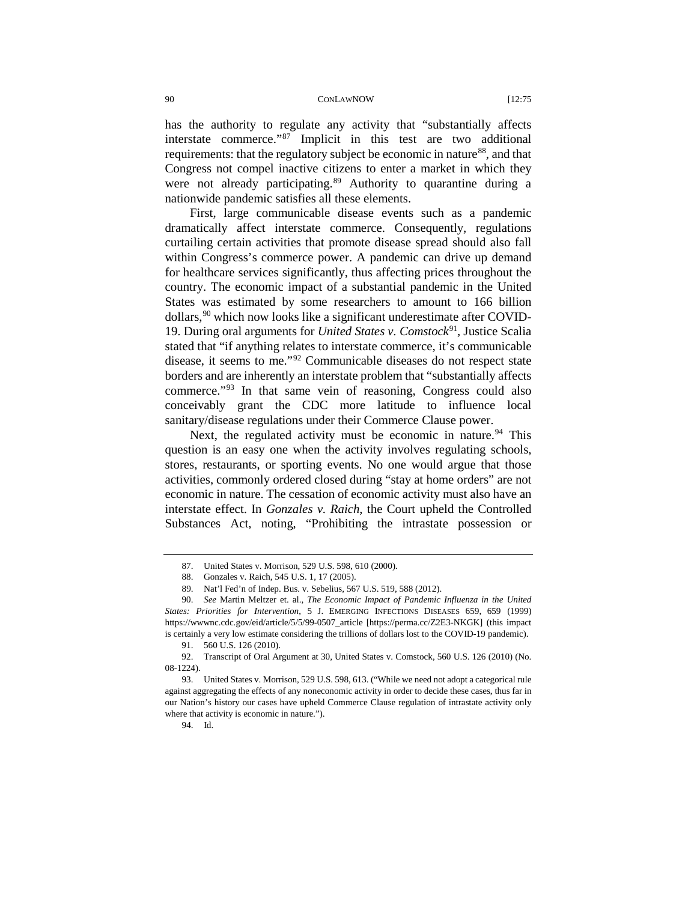has the authority to regulate any activity that "substantially affects interstate commerce."[87](#page-15-0) Implicit in this test are two additional requirements: that the regulatory subject be economic in nature<sup>[88](#page-15-1)</sup>, and that Congress not compel inactive citizens to enter a market in which they were not already participating.<sup>[89](#page-15-2)</sup> Authority to quarantine during a nationwide pandemic satisfies all these elements.

First, large communicable disease events such as a pandemic dramatically affect interstate commerce. Consequently, regulations curtailing certain activities that promote disease spread should also fall within Congress's commerce power. A pandemic can drive up demand for healthcare services significantly, thus affecting prices throughout the country. The economic impact of a substantial pandemic in the United States was estimated by some researchers to amount to 166 billion dollars,  $90$  which now looks like a significant underestimate after COVID-19. During oral arguments for *United States v. Comstock*[91,](#page-15-4) Justice Scalia stated that "if anything relates to interstate commerce, it's communicable disease, it seems to me."[92](#page-15-5) Communicable diseases do not respect state borders and are inherently an interstate problem that "substantially affects commerce."[93](#page-15-6) In that same vein of reasoning, Congress could also conceivably grant the CDC more latitude to influence local sanitary/disease regulations under their Commerce Clause power.

Next, the regulated activity must be economic in nature.<sup>[94](#page-15-7)</sup> This question is an easy one when the activity involves regulating schools, stores, restaurants, or sporting events. No one would argue that those activities, commonly ordered closed during "stay at home orders" are not economic in nature. The cessation of economic activity must also have an interstate effect. In *Gonzales v. Raich*, the Court upheld the Controlled Substances Act, noting, "Prohibiting the intrastate possession or

<sup>87.</sup> United States v. Morrison, 529 U.S. 598, 610 (2000).

<sup>88.</sup> Gonzales v. Raich, 545 U.S. 1, 17 (2005).

<sup>89.</sup> Nat'l Fed'n of Indep. Bus. v. Sebelius, 567 U.S. 519, 588 (2012).

<span id="page-15-3"></span><span id="page-15-2"></span><span id="page-15-1"></span><span id="page-15-0"></span><sup>90.</sup> *See* Martin Meltzer et. al., *The Economic Impact of Pandemic Influenza in the United States: Priorities for Intervention*, 5 J. EMERGING INFECTIONS DISEASES 659, 659 (1999) https://wwwnc.cdc.gov/eid/article/5/5/99-0507\_article [https://perma.cc/Z2E3-NKGK] (this impact is certainly a very low estimate considering the trillions of dollars lost to the COVID-19 pandemic).

<sup>91.</sup> 560 U.S. 126 (2010).

<span id="page-15-5"></span><span id="page-15-4"></span><sup>92.</sup> Transcript of Oral Argument at 30, United States v. Comstock, 560 U.S. 126 (2010) (No. 08-1224).

<span id="page-15-7"></span><span id="page-15-6"></span><sup>93.</sup> United States v. Morrison, 529 U.S. 598, 613. ("While we need not adopt a categorical rule against aggregating the effects of any noneconomic activity in order to decide these cases, thus far in our Nation's history our cases have upheld Commerce Clause regulation of intrastate activity only where that activity is economic in nature.").

<sup>94.</sup> Id.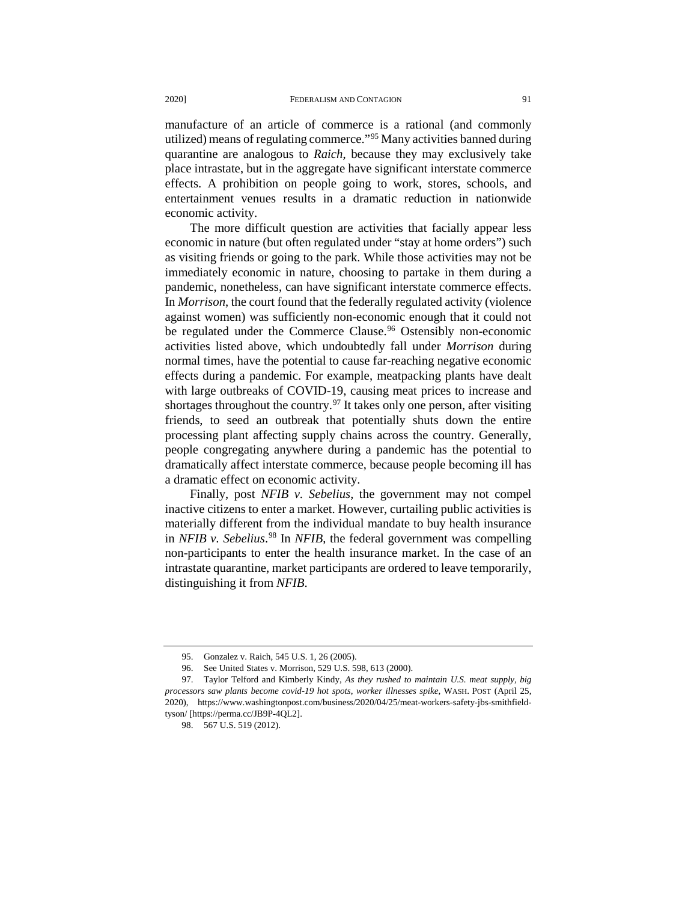manufacture of an article of commerce is a rational (and commonly utilized) means of regulating commerce."[95](#page-16-0) Many activities banned during quarantine are analogous to *Raich*, because they may exclusively take place intrastate, but in the aggregate have significant interstate commerce effects. A prohibition on people going to work, stores, schools, and entertainment venues results in a dramatic reduction in nationwide economic activity.

The more difficult question are activities that facially appear less economic in nature (but often regulated under "stay at home orders") such as visiting friends or going to the park. While those activities may not be immediately economic in nature, choosing to partake in them during a pandemic, nonetheless, can have significant interstate commerce effects. In *Morrison*, the court found that the federally regulated activity (violence against women) was sufficiently non-economic enough that it could not be regulated under the Commerce Clause.<sup>96</sup> Ostensibly non-economic activities listed above, which undoubtedly fall under *Morrison* during normal times, have the potential to cause far-reaching negative economic effects during a pandemic. For example, meatpacking plants have dealt with large outbreaks of COVID-19, causing meat prices to increase and shortages throughout the country.<sup>[97](#page-16-2)</sup> It takes only one person, after visiting friends, to seed an outbreak that potentially shuts down the entire processing plant affecting supply chains across the country. Generally, people congregating anywhere during a pandemic has the potential to dramatically affect interstate commerce, because people becoming ill has a dramatic effect on economic activity.

Finally, post *NFIB v. Sebelius*, the government may not compel inactive citizens to enter a market. However, curtailing public activities is materially different from the individual mandate to buy health insurance in *NFIB v. Sebelius*. [98](#page-16-3) In *NFIB*, the federal government was compelling non-participants to enter the health insurance market. In the case of an intrastate quarantine, market participants are ordered to leave temporarily, distinguishing it from *NFIB*.

<sup>95.</sup> Gonzalez v. Raich, 545 U.S. 1, 26 (2005).

<sup>96.</sup> See United States v. Morrison, 529 U.S. 598, 613 (2000).

<span id="page-16-3"></span><span id="page-16-2"></span><span id="page-16-1"></span><span id="page-16-0"></span><sup>97.</sup> Taylor Telford and Kimberly Kindy, *As they rushed to maintain U.S. meat supply, big processors saw plants become covid-19 hot spots, worker illnesses spike,* WASH. POST (April 25, 2020), https://www.washingtonpost.com/business/2020/04/25/meat-workers-safety-jbs-smithfieldtyson/ [https://perma.cc/JB9P-4QL2].

<sup>98.</sup> 567 U.S. 519 (2012).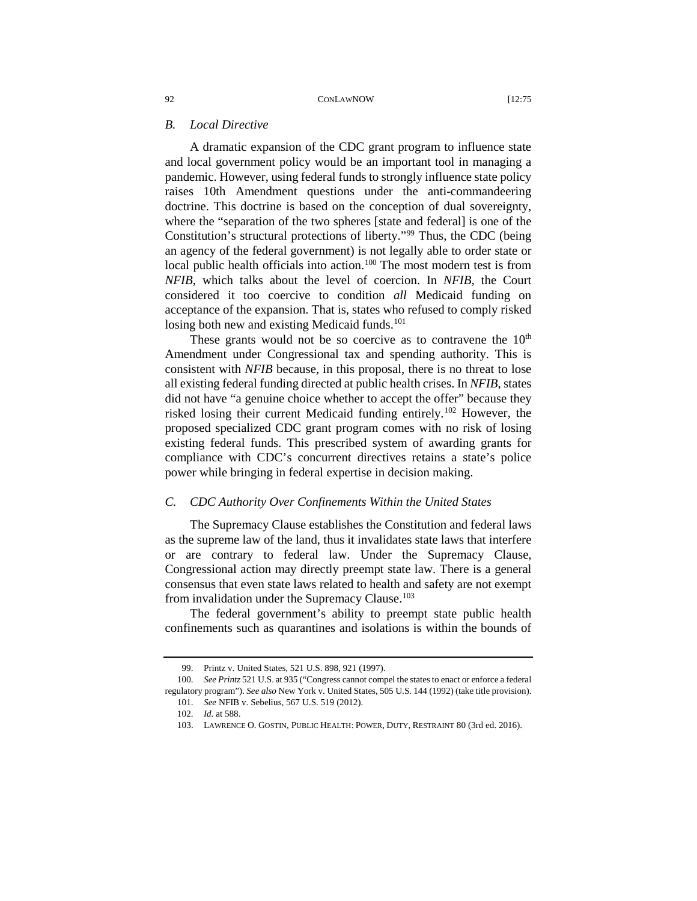# *B. Local Directive*

A dramatic expansion of the CDC grant program to influence state and local government policy would be an important tool in managing a pandemic. However, using federal funds to strongly influence state policy raises 10th Amendment questions under the anti-commandeering doctrine. This doctrine is based on the conception of dual sovereignty, where the "separation of the two spheres [state and federal] is one of the Constitution's structural protections of liberty.["99](#page-17-0) Thus, the CDC (being an agency of the federal government) is not legally able to order state or local public health officials into action.<sup>[100](#page-17-1)</sup> The most modern test is from *NFIB*, which talks about the level of coercion. In *NFIB*, the Court considered it too coercive to condition *all* Medicaid funding on acceptance of the expansion. That is, states who refused to comply risked losing both new and existing Medicaid funds.<sup>[101](#page-17-2)</sup>

These grants would not be so coercive as to contravene the  $10<sup>th</sup>$ Amendment under Congressional tax and spending authority. This is consistent with *NFIB* because, in this proposal, there is no threat to lose all existing federal funding directed at public health crises. In *NFIB*, states did not have "a genuine choice whether to accept the offer" because they risked losing their current Medicaid funding entirely.<sup>[102](#page-17-3)</sup> However, the proposed specialized CDC grant program comes with no risk of losing existing federal funds. This prescribed system of awarding grants for compliance with CDC's concurrent directives retains a state's police power while bringing in federal expertise in decision making.

### *C. CDC Authority Over Confinements Within the United States*

The Supremacy Clause establishes the Constitution and federal laws as the supreme law of the land, thus it invalidates state laws that interfere or are contrary to federal law. Under the Supremacy Clause, Congressional action may directly preempt state law. There is a general consensus that even state laws related to health and safety are not exempt from invalidation under the Supremacy Clause.<sup>[103](#page-17-4)</sup>

The federal government's ability to preempt state public health confinements such as quarantines and isolations is within the bounds of

<sup>99.</sup> Printz v. United States, 521 U.S. 898, 921 (1997).

<span id="page-17-4"></span><span id="page-17-3"></span><span id="page-17-2"></span><span id="page-17-1"></span><span id="page-17-0"></span><sup>100.</sup> *See Printz* 521 U.S. at 935 ("Congress cannot compel the states to enact or enforce a federal regulatory program"). *See also* New York v. United States, 505 U.S. 144 (1992) (take title provision). 101. *See* NFIB v. Sebelius, 567 U.S. 519 (2012).

<sup>102.</sup> *Id.* at 588.

<sup>103.</sup> LAWRENCE O. GOSTIN, PUBLIC HEALTH: POWER, DUTY, RESTRAINT 80 (3rd ed. 2016).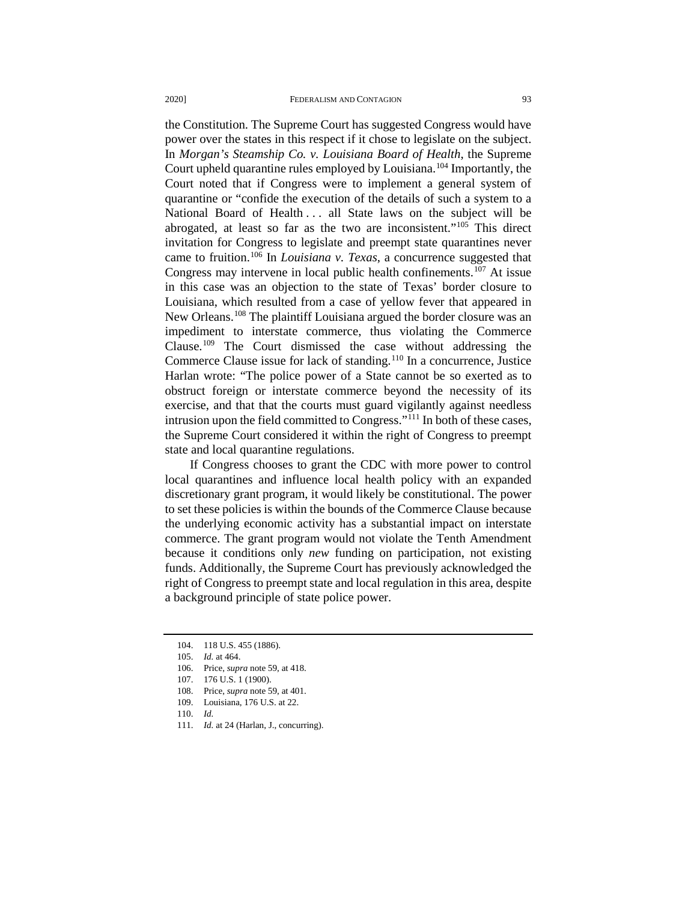the Constitution. The Supreme Court has suggested Congress would have power over the states in this respect if it chose to legislate on the subject. In *Morgan's Steamship Co. v. Louisiana Board of Health*, the Supreme Court upheld quarantine rules employed by Louisiana[.104](#page-18-0) Importantly, the Court noted that if Congress were to implement a general system of quarantine or "confide the execution of the details of such a system to a National Board of Health ... all State laws on the subject will be abrogated, at least so far as the two are inconsistent.["105](#page-18-1) This direct invitation for Congress to legislate and preempt state quarantines never came to fruition.[106](#page-18-2) In *Louisiana v. Texas*, a concurrence suggested that Congress may intervene in local public health confinements.<sup>[107](#page-18-3)</sup> At issue in this case was an objection to the state of Texas' border closure to Louisiana, which resulted from a case of yellow fever that appeared in New Orleans.<sup>[108](#page-18-4)</sup> The plaintiff Louisiana argued the border closure was an impediment to interstate commerce, thus violating the Commerce Clause.[109](#page-18-5) The Court dismissed the case without addressing the Commerce Clause issue for lack of standing.<sup>[110](#page-18-6)</sup> In a concurrence, Justice Harlan wrote: "The police power of a State cannot be so exerted as to obstruct foreign or interstate commerce beyond the necessity of its exercise, and that that the courts must guard vigilantly against needless intrusion upon the field committed to Congress.["111](#page-18-7) In both of these cases, the Supreme Court considered it within the right of Congress to preempt state and local quarantine regulations.

If Congress chooses to grant the CDC with more power to control local quarantines and influence local health policy with an expanded discretionary grant program, it would likely be constitutional. The power to set these policies is within the bounds of the Commerce Clause because the underlying economic activity has a substantial impact on interstate commerce. The grant program would not violate the Tenth Amendment because it conditions only *new* funding on participation, not existing funds. Additionally, the Supreme Court has previously acknowledged the right of Congress to preempt state and local regulation in this area, despite a background principle of state police power.

111. *Id.* at 24 (Harlan, J., concurring).

<span id="page-18-0"></span><sup>104. 118</sup> U.S. 455 (1886).

<span id="page-18-1"></span><sup>105.</sup> *Id.* at 464.

<sup>106.</sup> Price, *supra* note 59, at 418.

<span id="page-18-4"></span><span id="page-18-3"></span><span id="page-18-2"></span><sup>107. 176</sup> U.S. 1 (1900).

<sup>108.</sup> Price, *supra* note 59, at 401.

<sup>109.</sup> Louisiana, 176 U.S. at 22.

<span id="page-18-7"></span><span id="page-18-6"></span><span id="page-18-5"></span><sup>110.</sup> *Id.*